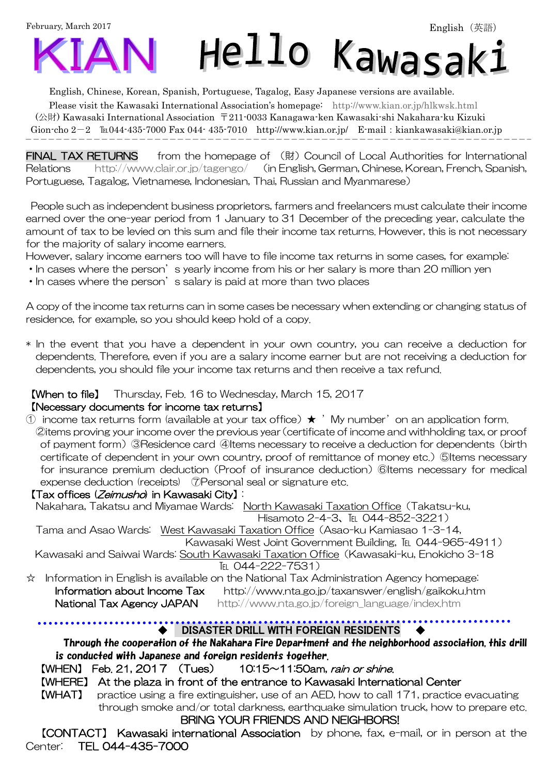February, March 2017



English, Chinese, Korean, Spanish, Portuguese, Tagalog, Easy Japanese versions are available.

Please visit the Kawasaki International Association's homepage: <http://www.kian.or.jp/hlkwsk.html> (公財) Kawasaki International Association 〒211-0033 Kanagawa-ken Kawasaki-shi Nakahara-ku Kizuki Gion-cho  $2-2$  ku044-435-7000 Fax 044-435-7010 <http://www.kian.or.jp/>E-mail: kiankawasaki@kian.or.jp  $\overline{a}$ 

**FINAL TAX RETURNS** from the homepage of (財) Council of Local Authorities for International Relations <http://www.clair.or.jp/tagengo/> (in English, German, Chinese, Korean, French, Spanish, Portuguese, Tagalog, Vietnamese, Indonesian, Thai, Russian and Myanmarese)

 People such as independent business proprietors, farmers and freelancers must calculate their income earned over the one-year period from 1 January to 31 December of the preceding year, calculate the amount of tax to be levied on this sum and file their income tax returns. However, this is not necessary for the majority of salary income earners.

However, salary income earners too will have to file income tax returns in some cases, for example:

- In cases where the person's yearly income from his or her salary is more than 20 million yen
- In cases where the person's salary is paid at more than two places

A copy of the income tax returns can in some cases be necessary when extending or changing status of residence, for example, so you should keep hold of a copy.

\* In the event that you have a dependent in your own country, you can receive a deduction for dependents. Therefore, even if you are a salary income earner but are not receiving a deduction for dependents, you should file your income tax returns and then receive a tax refund.

#### 【When to file】 Thursday, Feb. 16 to Wednesday, March 15, 2017

#### 【Necessary documents for income tax returns】

① income tax returns form (available at your tax office)  $\star$  'My number' on an application form. ②items proving your income over the previous year(certificate of income and withholding tax, or proof of payment form)③Residence card ④Items necessary to receive a deduction for dependents(birth certificate of dependent in your own country, proof of remittance of money etc.) ⑤Items necessary for insurance premium deduction (Proof of insurance deduction) ©Items necessary for medical expense deduction (receipts) (7) Personal seal or signature etc.

#### 【Tax offices (Zeimusho) in Kawasaki City】:

Nakahara, Takatsu and Miyamae Wards: North Kawasaki Taxation Office (Takatsu-ku, Hisamoto 2-4-3, TEL 044-852-3221)

Tama and Asao Wards: West Kawasaki Taxation Office(Asao-ku Kamiasao 1-3-14, Kawasaki West Joint Government Building, TEL 044-965-4911)

Kawasaki and Saiwai Wards: South Kawasaki Taxation Office(Kawasaki-ku, Enokicho 3-18 TFI 044-222-7531)

☆ Information in English is available on the National Tax Administration Agency homepage: Information about Income Tax <http://www.nta.go.jp/taxanswer/english/gaikoku.htm> National Tax Agency JAPAN [http://www.nta.go.jp/foreign\\_language/index.htm](http://www.nta.go.jp/foreign_language/index.htm)

## DISASTER DRILL WITH FOREIGN RESIDENTS

Through the cooperation of the Nakahara Fire Department and the neighborhood association, this drill is conducted with Japanese and foreign residents together.

 $[WHEN]$  Feb. 21, 2017  $(Tues)$  10:15 $\sim$ 11:50am, rain or shine.

【WHERE】 At the plaza in front of the entrance to Kawasaki International Center

【WHAT】 practice using a fire extinguisher, use of an AED, how to call 171, practice evacuating through smoke and/or total darkness, earthquake simulation truck, how to prepare etc.

### BRING YOUR FRIENDS AND NEIGHBORS!

 【CONTACT】 Kawasaki international Association by phone, fax, e-mail, or in person at the Center: TEL 044-435-7000